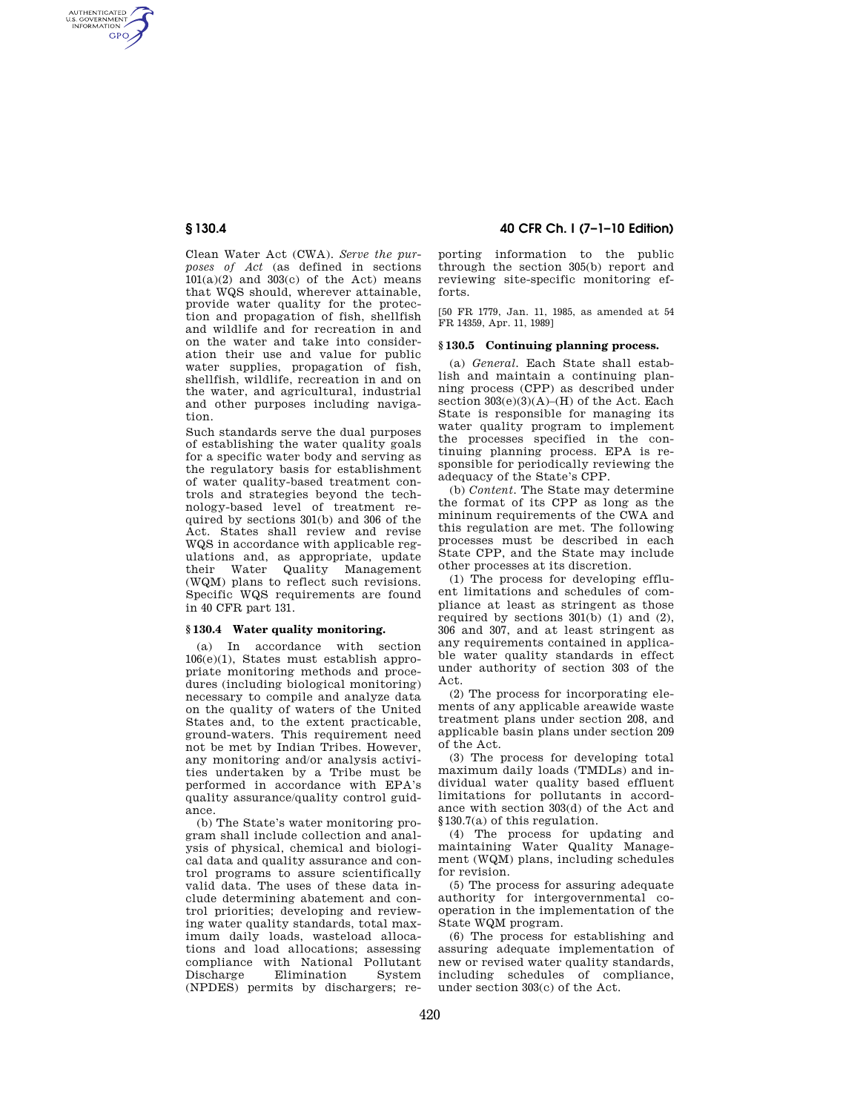AUTHENTICATED<br>U.S. GOVERNMENT<br>INFORMATION **GPO** 

> Clean Water Act (CWA). *Serve the purposes of Act* (as defined in sections  $101(a)(2)$  and  $303(c)$  of the Act) means that WQS should, wherever attainable, provide water quality for the protection and propagation of fish, shellfish and wildlife and for recreation in and on the water and take into consideration their use and value for public water supplies, propagation of fish, shellfish, wildlife, recreation in and on the water, and agricultural, industrial and other purposes including navigation.

> Such standards serve the dual purposes of establishing the water quality goals for a specific water body and serving as the regulatory basis for establishment of water quality-based treatment controls and strategies beyond the technology-based level of treatment required by sections 301(b) and 306 of the Act. States shall review and revise WQS in accordance with applicable regulations and, as appropriate, update their Water Quality Management (WQM) plans to reflect such revisions. Specific WQS requirements are found in 40 CFR part 131.

### **§ 130.4 Water quality monitoring.**

(a) In accordance with section 106(e)(1), States must establish appropriate monitoring methods and procedures (including biological monitoring) necessary to compile and analyze data on the quality of waters of the United States and, to the extent practicable, ground-waters. This requirement need not be met by Indian Tribes. However, any monitoring and/or analysis activities undertaken by a Tribe must be performed in accordance with EPA's quality assurance/quality control guidance.

(b) The State's water monitoring program shall include collection and analysis of physical, chemical and biological data and quality assurance and control programs to assure scientifically valid data. The uses of these data include determining abatement and control priorities; developing and reviewing water quality standards, total maximum daily loads, wasteload allocations and load allocations; assessing compliance with National Pollutant Discharge Elimination System (NPDES) permits by dischargers; re-

# **§ 130.4 40 CFR Ch. I (7–1–10 Edition)**

porting information to the public through the section 305(b) report and reviewing site-specific monitoring efforts.

[50 FR 1779, Jan. 11, 1985, as amended at 54 FR 14359, Apr. 11, 1989]

## **§ 130.5 Continuing planning process.**

(a) *General.* Each State shall establish and maintain a continuing planning process (CPP) as described under section  $303(e)(3)(A)$ –(H) of the Act. Each State is responsible for managing its water quality program to implement the processes specified in the continuing planning process. EPA is responsible for periodically reviewing the adequacy of the State's CPP.

(b) *Content.* The State may determine the format of its CPP as long as the mininum requirements of the CWA and this regulation are met. The following processes must be described in each State CPP, and the State may include other processes at its discretion.

(1) The process for developing effluent limitations and schedules of compliance at least as stringent as those required by sections  $301(b)$  (1) and (2), 306 and 307, and at least stringent as any requirements contained in applicable water quality standards in effect under authority of section 303 of the Act.

(2) The process for incorporating elements of any applicable areawide waste treatment plans under section 208, and applicable basin plans under section 209 of the Act.

(3) The process for developing total maximum daily loads (TMDLs) and individual water quality based effluent limitations for pollutants in accordance with section 303(d) of the Act and §130.7(a) of this regulation.

(4) The process for updating and maintaining Water Quality Management (WQM) plans, including schedules for revision.

(5) The process for assuring adequate authority for intergovernmental cooperation in the implementation of the State WQM program.

(6) The process for establishing and assuring adequate implementation of new or revised water quality standards, including schedules of compliance, under section 303(c) of the Act.